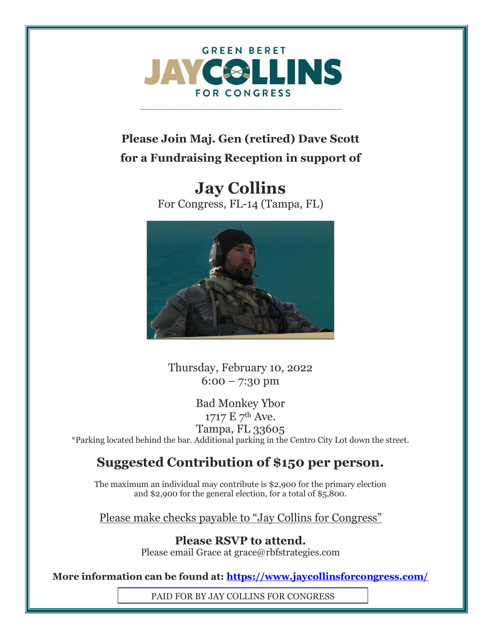

\_\_\_\_\_\_\_\_\_\_\_\_\_\_\_\_\_\_\_\_\_\_\_\_\_\_\_\_\_\_\_\_\_\_\_\_\_\_\_

## **Please Join Maj. Gen (retired) Dave Scott for a Fundraising Reception in support of**

**Jay Collins** For Congress, FL-14 (Tampa, FL)



Thursday, February 10, 2022  $6:00 - 7:30 \text{ pm}$ 

Bad Monkey Ybor 1717 E 7th Ave. Tampa, FL 33605 \*Parking located behind the bar. Additional parking in the Centro City Lot down the street.

## **Suggested Contribution of \$150 per person.**

The maximum an individual may contribute is \$2,900 for the primary election and \$2,900 for the general election, for a total of \$5,800.

Please make checks payable to "Jay Collins for Congress"

**Please RSVP to attend.** Please email Grace at grace@rbfstrategies.com

**More information can be found at:<https://www.jaycollinsforcongress.com/>**

PAID FOR BY JAY COLLINS FOR CONGRESS